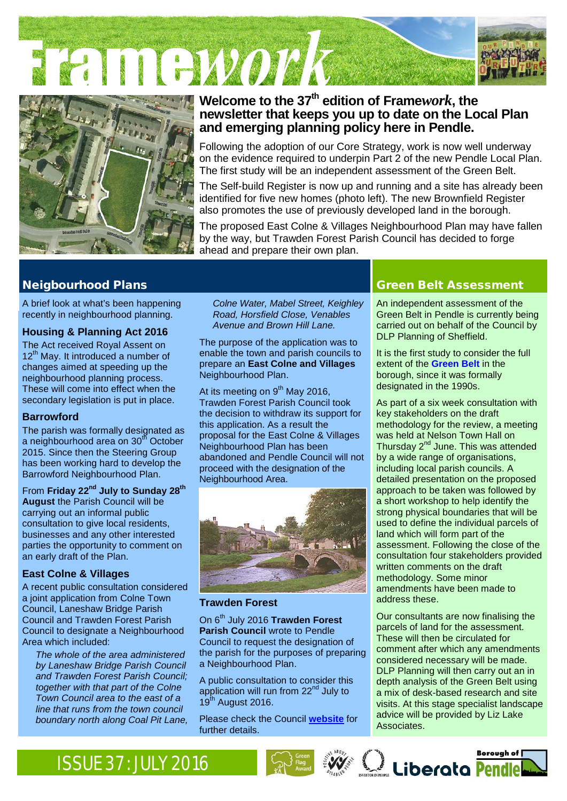FITTEWOL!





# **Welcome to the 37th edition of [Frame](http://www.pendle.gov.uk/downloads/download/1490/framework_newsletter)***work***, the newsletter that keeps you up to date on the Local Plan and emerging planning policy here in Pendle.**

Following the adoption of our Core Strategy, work is now well underway on the evidence required to underpin Part 2 of the new Pendle Local Plan. The first study will be an independent assessment of the Green Belt.

The Self-build Register is now up and running and a site has already been identified for five new homes (photo left). The new Brownfield Register also promotes the use of previously developed land in the borough.

The proposed East Colne & Villages Neighbourhood Plan may have fallen by the way, but Trawden Forest Parish Council has decided to forge ahead and prepare their own plan.

A brief look at what's been happening recently in neighbourhood planning.

# **Housing & Planning Act 2016**

The Act received Royal Assent on 12<sup>th</sup> May. It introduced a number of changes aimed at speeding up the neighbourhood planning process. These will come into effect when the secondary legislation is put in place.

# **Barrowford**

The parish was formally designated as a neighbourhood area on 30<sup>th</sup> October 2015. Since then the Steering Group has been working hard to develop the Barrowford Neighbourhood Plan.

From **Friday 22nd July to Sunday 28th August** the Parish Council will be carrying out an informal public consultation to give local residents, businesses and any other interested parties the opportunity to comment on an early draft of the Plan.

# **East Colne & Villages**

A recent public consultation considered a joint application from Colne Town Council, Laneshaw Bridge Parish Council and Trawden Forest Parish Council to designate a Neighbourhood Area which included:

*The whole of the area administered by Laneshaw Bridge Parish Council and Trawden Forest Parish Council; together with that part of the Colne Town Council area to the east of a line that runs from the town council boundary north along Coal Pit Lane,*

*Colne Water, Mabel Street, Keighley Road, Horsfield Close, Venables Avenue and Brown Hill Lane.*

The purpose of the application was to enable the town and parish councils to prepare an **East Colne and Villages** Neighbourhood Plan.

At its meeting on  $9<sup>th</sup>$  May 2016, Trawden Forest Parish Council took the decision to withdraw its support for this application. As a result the proposal for the East Colne & Villages Neighbourhood Plan has been abandoned and Pendle Council will not proceed with the designation of the Neighbourhood Area.



### **Trawden Forest**

On 6th July 2016 **Trawden Forest Parish Council** wrote to Pendle Council to request the designation of the parish for the purposes of preparing a Neighbourhood Plan.

A public consultation to consider this application will run from 22<sup>nd</sup> July to  $19^{th}$  August 2016.

Please check the Council **[website](http://www.pendle.gov.uk/neighbourhoodplans)** for further details.

# Neigbourhood Plans Green Belt Assessment

An independent assessment of the Green Belt in Pendle is currently being carried out on behalf of the Council by DLP Planning of Sheffield.

It is the first study to consider the full extent of the **[Green Belt](https://en.wikipedia.org/wiki/Green_belt_(United_Kingdom))** in the borough, since it was formally designated in the 1990s.

As part of a six week consultation with key stakeholders on the draft methodology for the review, a meeting was held at Nelson Town Hall on Thursday  $2^{nd}$  June. This was attended by a wide range of organisations, including local parish councils. A detailed presentation on the proposed approach to be taken was followed by a short workshop to help identify the strong physical boundaries that will be used to define the individual parcels of land which will form part of the assessment. Following the close of the consultation four stakeholders provided written comments on the draft methodology. Some minor amendments have been made to address these.

Our consultants are now finalising the parcels of land for the assessment. These will then be circulated for comment after which any amendments considered necessary will be made. DLP Planning will then carry out an in depth analysis of the Green Belt using a mix of desk-based research and site visits. At this stage specialist landscape advice will be provided by Liz Lake Associates.

Borough of [

# ISSUE 37: JULY 2016 Served and the state of the state of the state of the state of the state of the state of the state of the state of the state of the state of the state of the state of the state of the state of the state